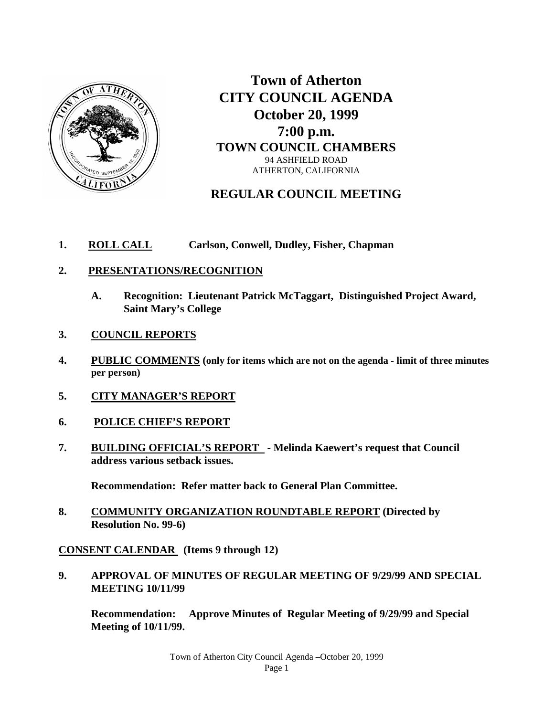

**Town of Atherton CITY COUNCIL AGENDA October 20, 1999 7:00 p.m. TOWN COUNCIL CHAMBERS** 94 ASHFIELD ROAD ATHERTON, CALIFORNIA

# **REGULAR COUNCIL MEETING**

- **1. ROLL CALL Carlson, Conwell, Dudley, Fisher, Chapman**
- **2. PRESENTATIONS/RECOGNITION**
	- **A. Recognition: Lieutenant Patrick McTaggart, Distinguished Project Award, Saint Mary's College**
- **3. COUNCIL REPORTS**
- **4. PUBLIC COMMENTS (only for items which are not on the agenda - limit of three minutes per person)**
- **5. CITY MANAGER'S REPORT**
- **6. POLICE CHIEF'S REPORT**
- **7. BUILDING OFFICIAL'S REPORT - Melinda Kaewert's request that Council address various setback issues.**

**Recommendation: Refer matter back to General Plan Committee.**

**8. COMMUNITY ORGANIZATION ROUNDTABLE REPORT (Directed by Resolution No. 99-6)**

**CONSENT CALENDAR (Items 9 through 12)**

**9. APPROVAL OF MINUTES OF REGULAR MEETING OF 9/29/99 AND SPECIAL MEETING 10/11/99**

**Recommendation: Approve Minutes of Regular Meeting of 9/29/99 and Special Meeting of 10/11/99.**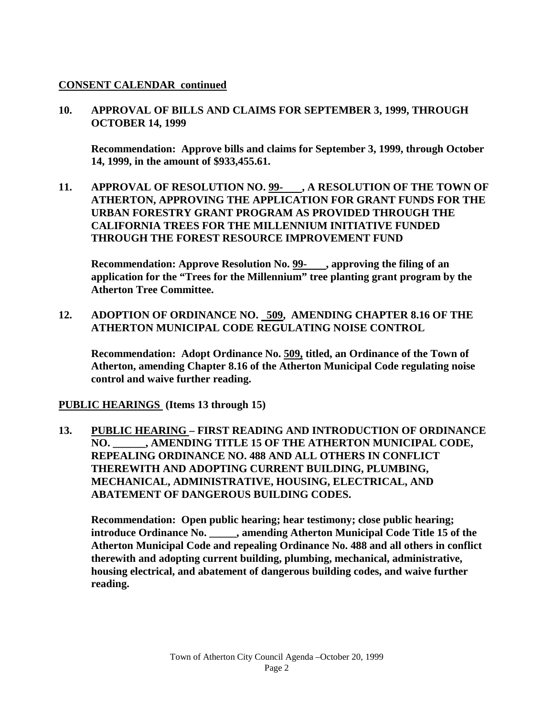### **CONSENT CALENDAR continued**

### **10. APPROVAL OF BILLS AND CLAIMS FOR SEPTEMBER 3, 1999, THROUGH OCTOBER 14, 1999**

**Recommendation: Approve bills and claims for September 3, 1999, through October 14, 1999, in the amount of \$933,455.61.**

**11. APPROVAL OF RESOLUTION NO. 99- , A RESOLUTION OF THE TOWN OF ATHERTON, APPROVING THE APPLICATION FOR GRANT FUNDS FOR THE URBAN FORESTRY GRANT PROGRAM AS PROVIDED THROUGH THE CALIFORNIA TREES FOR THE MILLENNIUM INITIATIVE FUNDED THROUGH THE FOREST RESOURCE IMPROVEMENT FUND** 

**Recommendation: Approve Resolution No. 99- , approving the filing of an application for the "Trees for the Millennium" tree planting grant program by the Atherton Tree Committee.**

**12. ADOPTION OF ORDINANCE NO. 509, AMENDING CHAPTER 8.16 OF THE ATHERTON MUNICIPAL CODE REGULATING NOISE CONTROL**

**Recommendation: Adopt Ordinance No. 509, titled, an Ordinance of the Town of Atherton, amending Chapter 8.16 of the Atherton Municipal Code regulating noise control and waive further reading.** 

**PUBLIC HEARINGS (Items 13 through 15)**

**13. PUBLIC HEARING – FIRST READING AND INTRODUCTION OF ORDINANCE NO. \_\_\_\_\_\_, AMENDING TITLE 15 OF THE ATHERTON MUNICIPAL CODE, REPEALING ORDINANCE NO. 488 AND ALL OTHERS IN CONFLICT THEREWITH AND ADOPTING CURRENT BUILDING, PLUMBING, MECHANICAL, ADMINISTRATIVE, HOUSING, ELECTRICAL, AND ABATEMENT OF DANGEROUS BUILDING CODES.**

**Recommendation: Open public hearing; hear testimony; close public hearing; introduce Ordinance No. \_\_\_\_\_, amending Atherton Municipal Code Title 15 of the Atherton Municipal Code and repealing Ordinance No. 488 and all others in conflict therewith and adopting current building, plumbing, mechanical, administrative, housing electrical, and abatement of dangerous building codes, and waive further reading.**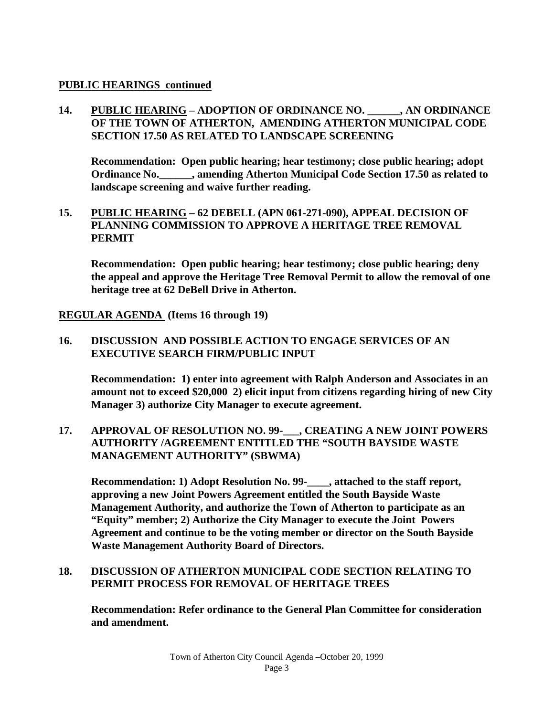### **PUBLIC HEARINGS continued**

## **14. PUBLIC HEARING – ADOPTION OF ORDINANCE NO. \_\_\_\_\_\_, AN ORDINANCE OF THE TOWN OF ATHERTON, AMENDING ATHERTON MUNICIPAL CODE SECTION 17.50 AS RELATED TO LANDSCAPE SCREENING**

**Recommendation: Open public hearing; hear testimony; close public hearing; adopt Ordinance No.\_\_\_\_\_\_, amending Atherton Municipal Code Section 17.50 as related to landscape screening and waive further reading.**

### **15. PUBLIC HEARING – 62 DEBELL (APN 061-271-090), APPEAL DECISION OF PLANNING COMMISSION TO APPROVE A HERITAGE TREE REMOVAL PERMIT**

**Recommendation: Open public hearing; hear testimony; close public hearing; deny the appeal and approve the Heritage Tree Removal Permit to allow the removal of one heritage tree at 62 DeBell Drive in Atherton.**

**REGULAR AGENDA (Items 16 through 19)**

### **16. DISCUSSION AND POSSIBLE ACTION TO ENGAGE SERVICES OF AN EXECUTIVE SEARCH FIRM/PUBLIC INPUT**

**Recommendation: 1) enter into agreement with Ralph Anderson and Associates in an amount not to exceed \$20,000 2) elicit input from citizens regarding hiring of new City Manager 3) authorize City Manager to execute agreement.**

### **17. APPROVAL OF RESOLUTION NO. 99-\_\_\_, CREATING A NEW JOINT POWERS AUTHORITY /AGREEMENT ENTITLED THE "SOUTH BAYSIDE WASTE MANAGEMENT AUTHORITY" (SBWMA)**

**Recommendation: 1) Adopt Resolution No. 99-\_\_\_\_, attached to the staff report, approving a new Joint Powers Agreement entitled the South Bayside Waste Management Authority, and authorize the Town of Atherton to participate as an "Equity" member; 2) Authorize the City Manager to execute the Joint Powers Agreement and continue to be the voting member or director on the South Bayside Waste Management Authority Board of Directors.**

### **18. DISCUSSION OF ATHERTON MUNICIPAL CODE SECTION RELATING TO PERMIT PROCESS FOR REMOVAL OF HERITAGE TREES**

**Recommendation: Refer ordinance to the General Plan Committee for consideration and amendment.**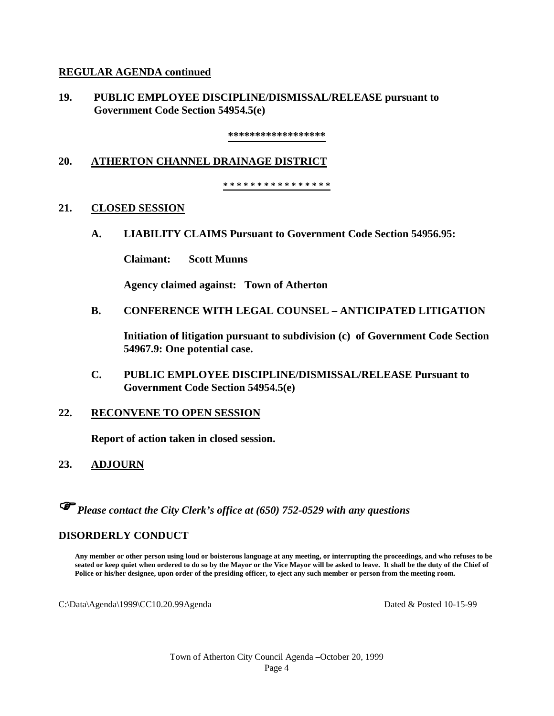#### **REGULAR AGENDA continued**

**19. PUBLIC EMPLOYEE DISCIPLINE/DISMISSAL/RELEASE pursuant to Government Code Section 54954.5(e)** 

**\*\*\*\*\*\*\*\*\*\*\*\*\*\*\*\*\*\***

#### **20. ATHERTON CHANNEL DRAINAGE DISTRICT**

**\* \* \* \* \* \* \* \* \* \* \* \* \* \* \* \***

#### **21. CLOSED SESSION**

**A. LIABILITY CLAIMS Pursuant to Government Code Section 54956.95:**

**Claimant: Scott Munns**

**Agency claimed against: Town of Atherton**

**B. CONFERENCE WITH LEGAL COUNSEL – ANTICIPATED LITIGATION**

**Initiation of litigation pursuant to subdivision (c) of Government Code Section 54967.9: One potential case.**

**C. PUBLIC EMPLOYEE DISCIPLINE/DISMISSAL/RELEASE Pursuant to Government Code Section 54954.5(e)**

#### **22. RECONVENE TO OPEN SESSION**

**Report of action taken in closed session.**

**23. ADJOURN**

*Please contact the City Clerk's office at (650) 752-0529 with any questions*

### **DISORDERLY CONDUCT**

**Any member or other person using loud or boisterous language at any meeting, or interrupting the proceedings, and who refuses to be seated or keep quiet when ordered to do so by the Mayor or the Vice Mayor will be asked to leave. It shall be the duty of the Chief of Police or his/her designee, upon order of the presiding officer, to eject any such member or person from the meeting room.** 

C:\Data\Agenda\1999\CC10.20.99Agenda Dated & Posted 10-15-99